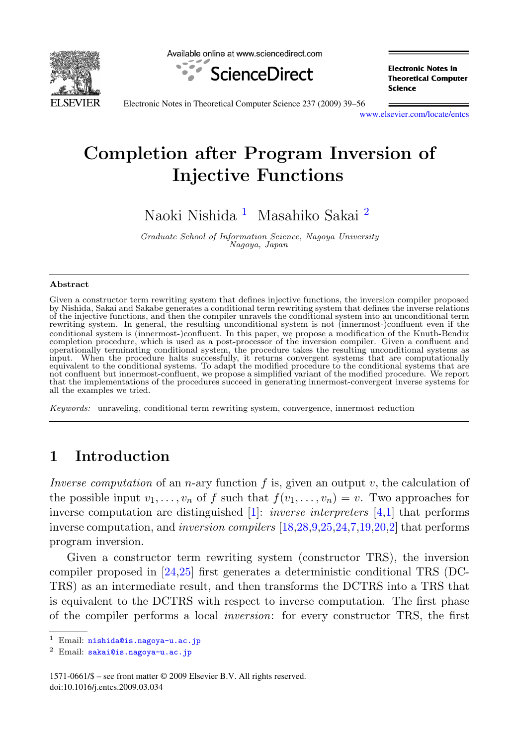<span id="page-0-0"></span>

Available online at www.sciencedirect.com



**Electronic Notes in Theoretical Computer** Science

Electronic Notes in Theoretical Computer Science 237 (2009) 39–56

[www.elsevier.com/locate/entcs](http://www.elsevier.com/locate/entcs)

# **Completion after Program Inversion of Injective Functions**

Naoki Nishida <sup>1</sup> Masahiko Sakai <sup>2</sup>

Graduate School of Information Science, Nagoya University Nagoya, Japan

#### **Abstract**

Given a constructor term rewriting system that defines injective functions, the inversion compiler proposed by Nishida, Sakai and Sakabe generates a conditional term rewriting system that defines the inverse relations of the injective functions, and then the compiler unravels the conditional system into an unconditional term rewriting system. In general, the resulting unconditional system is not (innermost-)confluent even if the conditional system is (innermost-)confluent. In this paper, we propose a modification of the Knuth-Bendix completion procedure, which is used as a post-processor of the inversion compiler. Given a confluent and operationally terminating conditional system, the procedure takes the resulting unconditional systems as input. When the procedure halts successfully, it returns convergent systems that are computationally equivalent to the conditional systems. To adapt the modified procedure to the conditional systems that are not confluent but innermost-confluent, we propose a simplified variant of the modified procedure. We report that the implementations of the procedures succeed in generating innermost-convergent inverse systems for all the examples we tried.

Keywords: unraveling, conditional term rewriting system, convergence, innermost reduction

## **1 Introduction**

Inverse computation of an n-ary function f is, given an output v, the calculation of the possible input  $v_1,\ldots,v_n$  of f such that  $f(v_1,\ldots,v_n)=v$ . Two approaches for inverse computation are distinguished  $[1]$ : *inverse interpreters*  $[4,1]$  that performs inverse computation, and inversion compilers [\[18,28](#page-17-0)[,9,](#page-16-0)[25,24,](#page-17-0)[7,](#page-16-0)[19,20](#page-17-0)[,2\]](#page-16-0) that performs program inversion.

Given a constructor term rewriting system (constructor TRS), the inversion compiler proposed in [\[24,25\]](#page-17-0) first generates a deterministic conditional TRS (DC-TRS) as an intermediate result, and then transforms the DCTRS into a TRS that is equivalent to the DCTRS with respect to inverse computation. The first phase of the compiler performs a local inversion: for every constructor TRS, the first

<sup>&</sup>lt;sup>1</sup> Email: [nishida@is.nagoya-u.ac.jp](mailto:nishida@is.nagoya-u.ac.jp)

<sup>2</sup> Email: [sakai@is.nagoya-u.ac.jp](mailto:sakai@is.nagoya-u.ac.jp)

<sup>1571-0661/\$ –</sup> see front matter © 2009 Elsevier B.V. All rights reserved. doi:10.1016/j.entcs.2009.03.034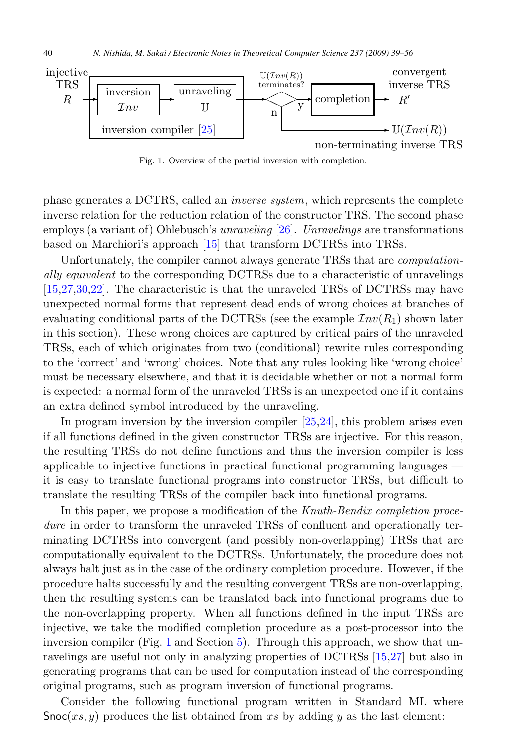

Fig. 1. Overview of the partial inversion with completion.

phase generates a DCTRS, called an inverse system, which represents the complete inverse relation for the reduction relation of the constructor TRS. The second phase employs (a variant of) Ohlebusch's *unraveling* [\[26\]](#page-17-0). *Unravelings* are transformations based on Marchiori's approach [\[15\]](#page-16-0) that transform DCTRSs into TRSs.

Unfortunately, the compiler cannot always generate TRSs that are computationally equivalent to the corresponding DCTRSs due to a characteristic of unravelings [\[15,](#page-16-0)[27,30,22\]](#page-17-0). The characteristic is that the unraveled TRSs of DCTRSs may have unexpected normal forms that represent dead ends of wrong choices at branches of evaluating conditional parts of the DCTRSs (see the example  $\mathcal{I}nv(R_1)$  shown later in this section). These wrong choices are captured by critical pairs of the unraveled TRSs, each of which originates from two (conditional) rewrite rules corresponding to the 'correct' and 'wrong' choices. Note that any rules looking like 'wrong choice' must be necessary elsewhere, and that it is decidable whether or not a normal form is expected: a normal form of the unraveled TRSs is an unexpected one if it contains an extra defined symbol introduced by the unraveling.

In program inversion by the inversion compiler [\[25,24\]](#page-17-0), this problem arises even if all functions defined in the given constructor TRSs are injective. For this reason, the resulting TRSs do not define functions and thus the inversion compiler is less applicable to injective functions in practical functional programming languages it is easy to translate functional programs into constructor TRSs, but difficult to translate the resulting TRSs of the compiler back into functional programs.

In this paper, we propose a modification of the Knuth-Bendix completion procedure in order to transform the unraveled TRSs of confluent and operationally terminating DCTRSs into convergent (and possibly non-overlapping) TRSs that are computationally equivalent to the DCTRSs. Unfortunately, the procedure does not always halt just as in the case of the ordinary completion procedure. However, if the procedure halts successfully and the resulting convergent TRSs are non-overlapping, then the resulting systems can be translated back into functional programs due to the non-overlapping property. When all functions defined in the input TRSs are injective, we take the modified completion procedure as a post-processor into the inversion compiler (Fig. 1 and Section [5\)](#page-11-0). Through this approach, we show that unravelings are useful not only in analyzing properties of DCTRSs [\[15](#page-16-0)[,27\]](#page-17-0) but also in generating programs that can be used for computation instead of the corresponding original programs, such as program inversion of functional programs.

Consider the following functional program written in Standard ML where  $Snoc(xs, y)$  produces the list obtained from xs by adding y as the last element: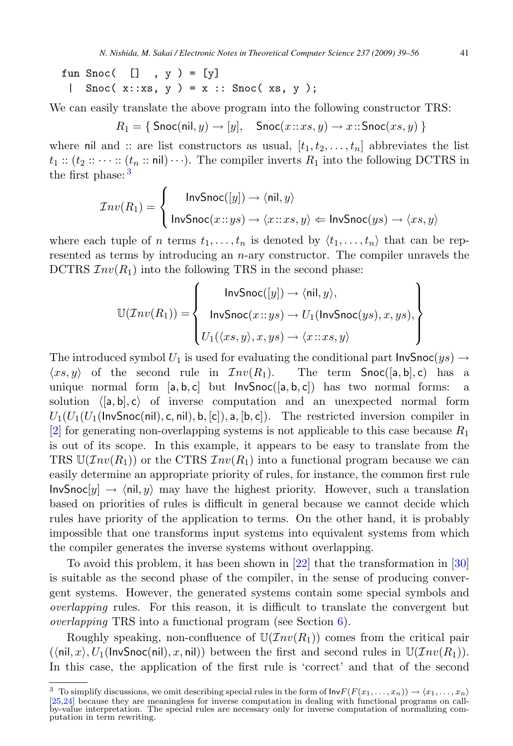fun Snoc $($   $[]$  ,  $y$   $) = [y]$ | Snoc( $x::xs, y$ ) =  $x ::$  Snoc( $xs, y$ );

We can easily translate the above program into the following constructor TRS:

 $R_1 = \{ \text{Snoc}(\text{nil}, y) \rightarrow [y], \text{Snoc}(x::xs, y) \rightarrow x::\text{Snoc}(xs, y) \}$ 

where nil and :: are list constructors as usual,  $[t_1, t_2, \ldots, t_n]$  abbreviates the list  $t_1$ ::  $(t_2$ ::  $\cdots$ ::  $(t_n$ :: nil) $\cdots$ ). The compiler inverts  $R_1$  into the following DCTRS in the first phase: <sup>3</sup>

$$
\mathcal{I}nv(R_1) = \begin{cases} \text{InvSnoc}([y]) \to \langle \text{nil}, y \rangle \\ \text{InvSnoc}(x::ys) \to \langle x::xs, y \rangle \Leftarrow \text{InvSnoc}(ys) \to \langle xs, y \rangle \end{cases}
$$

where each tuple of n terms  $t_1, \ldots, t_n$  is denoted by  $\langle t_1, \ldots, t_n \rangle$  that can be represented as terms by introducing an  $n$ -ary constructor. The compiler unravels the DCTRS  $Inv(R_1)$  into the following TRS in the second phase:

$$
\mathbb{U}(\mathcal{I}nv(R_1)) = \begin{Bmatrix} \mathsf{InvSnoc}([y]) \to \langle \mathsf{nil}, y \rangle, \\ \mathsf{InvSnoc}(x::ys) \to U_1(\mathsf{InvSnoc}(ys), x, ys), \\ U_1(\langle xs, y \rangle, x, ys) \to \langle x::xs, y \rangle \end{Bmatrix}
$$

The introduced symbol  $U_1$  is used for evaluating the conditional part  $InvSnoc(ys) \rightarrow (xs, y)$  of the second rule in  $Inv(R_1)$ . The term  $Snoc([a, b], c)$  has a  $(x, y)$  of the second rule in  $Inv(R_1)$ . The term  $Snoc([a, b], c)$  has a<br>unique normal form [a, b, c] but  $InvSnoc([a, b])$  has two normal forms: unique normal form  $[a, b, c]$  but  $InvSnoc([a, b, c])$  has two normal forms: a<br>solution  $([a, b], c)$  of inverse computation and an unexpected normal form solution  $\langle [a, b], c \rangle$  of inverse computation and an unexpected normal form  $U_1(U_1(U_1(\text{Inv}Snoc(ni), c, nil), b, [c]), a, [b, c]).$  The restricted inversion compiler in [\[2\]](#page-16-0) for generating non-overlapping systems is not applicable to this case because  $R_1$ is out of its scope. In this example, it appears to be easy to translate from the TRS  $\mathbb{U}(Inv(R_1))$  or the CTRS  $Inv(R_1)$  into a functional program because we can easily determine an appropriate priority of rules, for instance, the common first rule  $InvSnoc[y] \rightarrow \langle nil, y \rangle$  may have the highest priority. However, such a translation based on priorities of rules is difficult in general because we cannot decide which rules have priority of the application to terms. On the other hand, it is probably impossible that one transforms input systems into equivalent systems from which the compiler generates the inverse systems without overlapping.

To avoid this problem, it has been shown in [\[22\]](#page-17-0) that the transformation in [\[30\]](#page-17-0) is suitable as the second phase of the compiler, in the sense of producing convergent systems. However, the generated systems contain some special symbols and overlapping rules. For this reason, it is difficult to translate the convergent but overlapping TRS into a functional program (see Section [6\)](#page-14-0).

Roughly speaking, non-confluence of  $\mathbb{U}(\mathcal{I}nv(R_1))$  comes from the critical pair  $(\langle \text{nil}, x \rangle, U_1(\text{InvSnocnil}), x, \text{nil})$  between the first and second rules in  $\mathbb{U}(\mathcal{I}nv(R_1)).$ In this case, the application of the first rule is 'correct' and that of the second

<sup>&</sup>lt;sup>3</sup> To simplify discussions, we omit describing special rules in the form of  $\text{InvF}(F(x_1,...,x_n)) \to (x_1,...,x_n)$  [25,24] because they are meaningless for inverse computation in dealing with functional programs on call-[\[25,24\]](#page-17-0) because they are meaningless for inverse computation in dealing with functional programs on call- by-value interpretation. The special rules are necessary only for inverse computation of normalizing computation in term rewriting.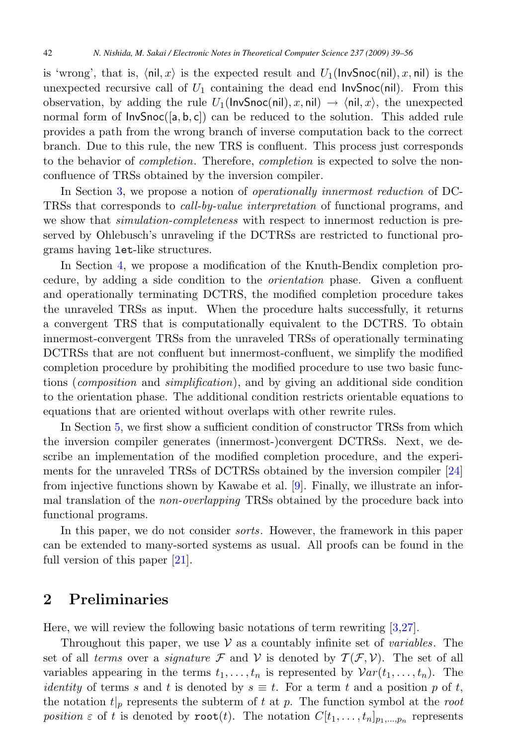is 'wrong', that is,  $\langle \text{nil}, x \rangle$  is the expected result and  $U_1(\text{InvSnoc}(nil), x, nil)$  is the unexpected recursive call of  $U_1$  containing the dead end  $InvSnoc(nil)$ . From this observation, by adding the rule  $U_1(\text{InvSnoc}(\text{nil}), x, \text{nil}) \to \langle \text{nil}, x \rangle$ , the unexpected normal form of  $InvSnoc([a, b, c])$  can be reduced to the solution. This added rule provides a path from the wrong branch of inverse computation back to the correct branch. Due to this rule, the new TRS is confluent. This process just corresponds to the behavior of completion. Therefore, completion is expected to solve the nonconfluence of TRSs obtained by the inversion compiler.

In Section [3,](#page-5-0) we propose a notion of *operationally innermost reduction* of DC-TRSs that corresponds to call-by-value interpretation of functional programs, and we show that *simulation-completeness* with respect to innermost reduction is preserved by Ohlebusch's unraveling if the DCTRSs are restricted to functional programs having let-like structures.

In Section [4,](#page-8-0) we propose a modification of the Knuth-Bendix completion procedure, by adding a side condition to the orientation phase. Given a confluent and operationally terminating DCTRS, the modified completion procedure takes the unraveled TRSs as input. When the procedure halts successfully, it returns a convergent TRS that is computationally equivalent to the DCTRS. To obtain innermost-convergent TRSs from the unraveled TRSs of operationally terminating DCTRSs that are not confluent but innermost-confluent, we simplify the modified completion procedure by prohibiting the modified procedure to use two basic functions (composition and simplification), and by giving an additional side condition to the orientation phase. The additional condition restricts orientable equations to equations that are oriented without overlaps with other rewrite rules.

In Section [5,](#page-11-0) we first show a sufficient condition of constructor TRSs from which the inversion compiler generates (innermost-)convergent DCTRSs. Next, we describe an implementation of the modified completion procedure, and the experiments for the unraveled TRSs of DCTRSs obtained by the inversion compiler [\[24\]](#page-17-0) from injective functions shown by Kawabe et al. [\[9\]](#page-16-0). Finally, we illustrate an informal translation of the *non-overlapping* TRSs obtained by the procedure back into functional programs.

In this paper, we do not consider sorts. However, the framework in this paper can be extended to many-sorted systems as usual. All proofs can be found in the full version of this paper [\[21\]](#page-17-0).

## **2 Preliminaries**

Here, we will review the following basic notations of term rewriting [\[3](#page-16-0)[,27\]](#page-17-0).

Throughout this paper, we use  $V$  as a countably infinite set of *variables*. The set of all terms over a *signature* F and V is denoted by  $T(F, V)$ . The set of all variables appearing in the terms  $t_1,\ldots,t_n$  is represented by  $\mathcal{V}ar(t_1,\ldots,t_n)$ . The *identity* of terms s and t is denoted by  $s \equiv t$ . For a term t and a position p of t, the notation  $t|_p$  represents the subterm of t at p. The function symbol at the root position  $\varepsilon$  of t is denoted by root(t). The notation  $C[t_1,\ldots,t_n]_{p_1,\ldots,p_n}$  represents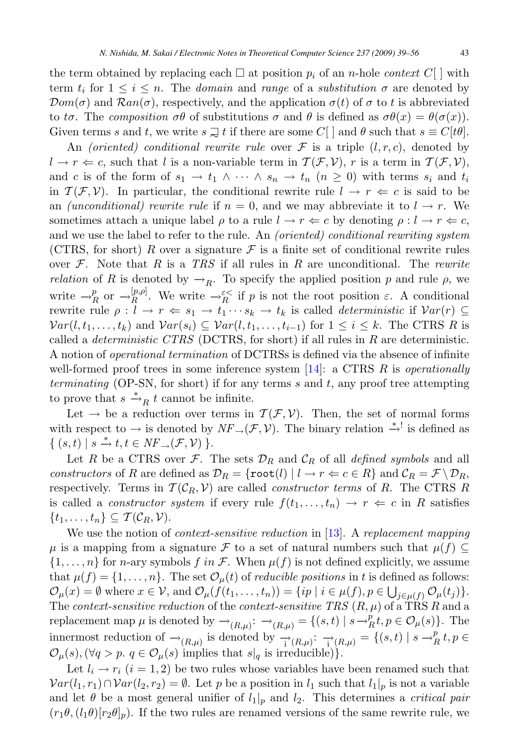the term obtained by replacing each  $\Box$  at position  $p_i$  of an n-hole context  $C[\ ]$  with term t for  $1 \leq i \leq n$ . The domain and range of a substitution  $\sigma$  are denoted by term  $t_i$  for  $1 \leq i \leq n$ . The *domain* and *range* of a *substitution*  $\sigma$  are denoted by  $\mathcal{D}om(\sigma)$  and  $\mathcal{R}an(\sigma)$ , respectively, and the application  $\sigma(t)$  of  $\sigma$  to t is abbreviated to t $\sigma$ . The composition  $\sigma\theta$  of substitutions  $\sigma$  and  $\theta$  is defined as  $\sigma\theta(x) = \theta(\sigma(x))$ . Given terms s and t, we write  $s \supsetneq t$  if there are some  $C[\ ]$  and  $\theta$  such that  $s \equiv C[t\theta]$ .

An *(oriented)* conditional rewrite rule over  $\mathcal F$  is a triple  $(l, r, c)$ , denoted by  $l \to r \Leftarrow c$ , such that l is a non-variable term in  $\mathcal{T}(\mathcal{F}, \mathcal{V})$ , r is a term in  $\mathcal{T}(\mathcal{F}, \mathcal{V})$ , and c is of the form of  $s_1 \to t_1 \land \cdots \land s_n \to t_n$   $(n \geq 0)$  with terms  $s_i$  and  $t_i$ in  $\mathcal{T}(\mathcal{F}, \mathcal{V})$ . In particular, the conditional rewrite rule  $l \to r \Leftarrow c$  is said to be an *(unconditional) rewrite rule* if  $n = 0$ , and we may abbreviate it to  $l \rightarrow r$ . We sometimes attach a unique label  $\rho$  to a rule  $l \to r \Leftarrow c$  by denoting  $\rho: l \to r \Leftarrow c$ , and we use the label to refer to the rule. An (oriented) conditional rewriting system (CTRS, for short) R over a signature  $\mathcal F$  is a finite set of conditional rewrite rules over  $F$ . Note that R is a TRS if all rules in R are unconditional. The rewrite *relation* of R is denoted by  $\rightarrow_R$ . To specify the applied position p and rule  $\rho$ , we write  $\rightarrow_R^p$  or  $\rightarrow_R^{[p,\rho]}$ . We write  $\rightarrow_R^{\varepsilon<}$  if p is not the root position  $\varepsilon$ . A conditional rewrite rule  $\rho: I \to r \Leftrightarrow \varepsilon_1 \to t_1$ , is called deterministic if  $Var(r) \subset$ rewrite rule  $\rho: l \to r \Leftrightarrow s_1 \to t_1 \cdots s_k \to t_k$  is called *deterministic* if  $Var(r) \subseteq$  $Var(l, t_1,...,t_k)$  and  $Var(s_i) \subseteq Var(l, t_1,...,t_{i-1})$  for  $1 \leq i \leq k$ . The CTRS R is called a *deterministic CTRS* (DCTRS, for short) if all rules in  $R$  are deterministic. A notion of operational termination of DCTRSs is defined via the absence of infinite well-formed proof trees in some inference system  $[14]$ : a CTRS R is *operationally* terminating (OP-SN, for short) if for any terms s and t, any proof tree attempting to prove that  $s \stackrel{*}{\longrightarrow}_R t$  cannot be infinite.

Let  $\rightarrow$  be a reduction over terms in  $\mathcal{T}(\mathcal{F}, \mathcal{V})$ . Then, the set of normal forms with respect to  $\rightarrow$  is denoted by  $NF_{\rightarrow}(\mathcal{F}, \mathcal{V})$ . The binary relation  $\stackrel{*}{\rightarrow}^!$  is defined as  $\{ (s,t) \mid s \stackrel{*}{\rightarrow} t, t \in NF \rightarrow (\mathcal{F}, \mathcal{V}) \}.$ <br>
Let  $P$  be a CTBS over  $\mathcal{F}$ .

Let R be a CTRS over F. The sets  $\mathcal{D}_R$  and  $\mathcal{C}_R$  of all defined symbols and all constructors of R are defined as  $\mathcal{D}_R = \{\texttt{root}(l) | l \to r \Leftarrow c \in R\}$  and  $\mathcal{C}_R = \mathcal{F} \setminus \mathcal{D}_R$ , respectively. Terms in  $\mathcal{T}(C_R, V)$  are called *constructor terms* of R. The CTRS R is called a *constructor system* if every rule  $f(t_1,\ldots,t_n) \to r \Leftarrow c$  in R satisfies  $\{t_1,\ldots,t_n\}\subseteq \mathcal{T}(\mathcal{C}_R,\mathcal{V}).$ 

We use the notion of *context-sensitive reduction* in [\[13\]](#page-16-0). A replacement mapping  $\mu$  is a mapping from a signature F to a set of natural numbers such that  $\mu(f) \subseteq$  $\{1,\ldots,n\}$  for *n*-ary symbols f in F. When  $\mu(f)$  is not defined explicitly, we assume that  $\mu(f) = \{1, \ldots, n\}$ . The set  $\mathcal{O}_{\mu}(t)$  of *reducible positions* in t is defined as follows:  $\mathcal{O}_{\mu}(x) = \emptyset$  where  $x \in \mathcal{V}$ , and  $\mathcal{O}_{\mu}(f(t_1, \ldots, t_n)) = \{ip \mid i \in \mu(f), p \in \bigcup_{j \in \mu(f)} \mathcal{O}_{\mu}(t_j)\}.$ <br>The context consitive reduction of the context consitive TBS (B, u) of a TBS B and a The context-sensitive reduction of the context-sensitive TRS  $(R, \mu)$  of a TRS R and a replacement map  $\mu$  is denoted by  $\rightarrow_{(R,\mu)}$ :  $\rightarrow_{(R,\mu)}$  = {(s, t) | s  $\rightarrow_R^p t, p \in \mathcal{O}_\mu(s)$ }. The innermost reduction of  $\rightarrow_{(R,\mu)}$  is denoted by  $\rightarrow_{(R,\mu)}^* : \rightarrow_{(R,\mu)}^* = \{(s,t) \mid s \rightarrow_R^p t, p \in$  $\mathcal{O}_{\mu}(s), \forall q > p. \ q \in \mathcal{O}_{\mu}(s)$  implies that  $s|_q$  is irreducible).

Let  $l_i \rightarrow r_i$   $(i = 1, 2)$  be two rules whose variables have been renamed such that  $Var(l_1, r_1) \cap Var(l_2, r_2) = \emptyset$ . Let p be a position in  $l_1$  such that  $l_1|_p$  is not a variable and let  $\theta$  be a most general unifier of  $l_1|_p$  and  $l_2$ . This determines a *critical pair*  $(r_1\theta,(l_1\theta)[r_2\theta]_p)$ . If the two rules are renamed versions of the same rewrite rule, we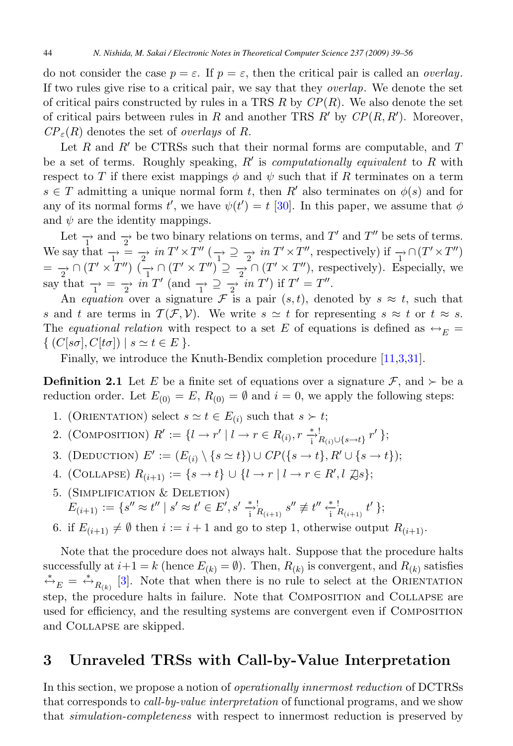<span id="page-5-0"></span>do not consider the case  $p = \varepsilon$ . If  $p = \varepsilon$ , then the critical pair is called an *overlay*. If two rules give rise to a critical pair, we say that they overlap. We denote the set of critical pairs constructed by rules in a TRS  $R$  by  $\mathbb{CP}(R)$ . We also denote the set of critical pairs between rules in R and another TRS R' by  $\mathbb{CP}(R, R')$ . Moreover,  $\mathbb{CP}(R)$  denotes the set of *overlaw* of R  $CP_{\varepsilon}(R)$  denotes the set of *overlays* of R.

Let R and R' be CTRSs such that their normal forms are computable, and T<br>a set of terms. Boughly speaking R' is computationally equivalent to R with be a set of terms. Roughly speaking,  $R'$  is *computationally equivalent* to R with respect to T if there exist mannings  $\phi$  and  $\psi$  such that if R terminates on a term respect to T if there exist mappings  $\phi$  and  $\psi$  such that if R terminates on a term  $s \in T$  admitting a unique normal form t, then  $R'$  also terminates on  $\phi(s)$  and for<br>any of its normal forms  $t'$ , we have  $\psi(t') = t$  [20]. In this nanor, we assume that  $\phi$ any of its normal forms  $t'$ , we have  $\psi(t') = t$  [\[30\]](#page-17-0). In this paper, we assume that  $\phi$ and  $\psi$  are the identity mappings.

Let  $\frac{1}{\Gamma}$  and  $\frac{1}{2}$  be two binary relations on terms, and T' and T'' be sets of terms. We say that  $\frac{1}{T} = \frac{1}{T}$  in  $T' \times T''$   $\left(\frac{1}{T'} \supseteq \frac{1}{T'}$  in  $T' \times T''$ , respectively) if  $\frac{1}{T} \cap (T' \times T'')$  $=\frac{1}{2} \cap (T' \times T'') \quad (\frac{1}{T'} \cap (T' \times T'') \supseteq \frac{1}{2} \cap (T' \times T'')$ , respectively). Especially, we say that  $\frac{\neg}{\rightarrow} = \frac{\neg}{2}$  in T' (and  $\frac{\neg}{\rightarrow} \frac{\neg}{2}$  in T') if T' = T".

An equation over a signature  $\mathcal{F}$  is a pair  $(s, t)$ , denoted by  $s \approx t$ , such that s and t are terms in  $\mathcal{T}(\mathcal{F}, \mathcal{V})$ . We write  $s \simeq t$  for representing  $s \approx t$  or  $t \approx s$ . The equational relation with respect to a set E of equations is defined as  $\leftrightarrow_E$  $\{ (C[s\sigma], C[t\sigma]) \mid s \simeq t \in E \}.$ 

Finally, we introduce the Knuth-Bendix completion procedure [\[11,3,](#page-16-0)[31\]](#page-17-0).

**Definition 2.1** Let E be a finite set of equations over a signature  $\mathcal{F}$ , and  $\succ$  be a reduction order. Let  $E_{(0)} = E$ ,  $R_{(0)} = \emptyset$  and  $i = 0$ , we apply the following steps:

- 1. (ORIENTATION) select  $s \simeq t \in E_{(i)}$  such that  $s \succ t$ ;
- 2. (COMPOSITION)  $R' := \{l \to r' \mid l \to r \in R_{(i)}, r \stackrel{*}{\to}^!_{R_{(i)} \cup \{s \to t\}} r' \};$
- 3. (DEDUCTION)  $E' := (E_{(i)} \setminus \{s \simeq t\}) \cup CP(\{s \to t\}, R' \cup \{s \to t\});$
- 4. (COLLAPSE)  $R_{(i+1)} := \{s \to t\} \cup \{l \to r \mid l \to r \in R', l \nvert \mathbb{Z}s\};$
- 5. (Simplification & Deletion)  $E_{(i+1)} := \{s'' \approx t'' \mid s' \approx t' \in E', s' \frac{*}{i}!_{(i+1)} s'' \not\equiv t'' \frac{*}{i}!_{(i+1)} t' \};$
- 6. if  $E_{(i+1)} \neq \emptyset$  then  $i := i+1$  and go to step 1, otherwise output  $R_{(i+1)}$ .

Note that the procedure does not always halt. Suppose that the procedure halts successfully at  $i+1 = k$  (hence  $E_{(k)} = \emptyset$ ). Then,  $R_{(k)}$  is convergent, and  $R_{(k)}$  satisfies  $\stackrel{*}{\leftrightarrow}_E = \stackrel{*}{\leftrightarrow}_{R_{(k)}}$  [\[3\]](#page-16-0). Note that when there is no rule to select at the ORIENTATION step, the procedure halts in failure. Note that Composition and Collapse are used for efficiency, and the resulting systems are convergent even if Composition and Collapse are skipped.

### **3 Unraveled TRSs with Call-by-Value Interpretation**

In this section, we propose a notion of operationally innermost reduction of DCTRSs that corresponds to call-by-value interpretation of functional programs, and we show that simulation-completeness with respect to innermost reduction is preserved by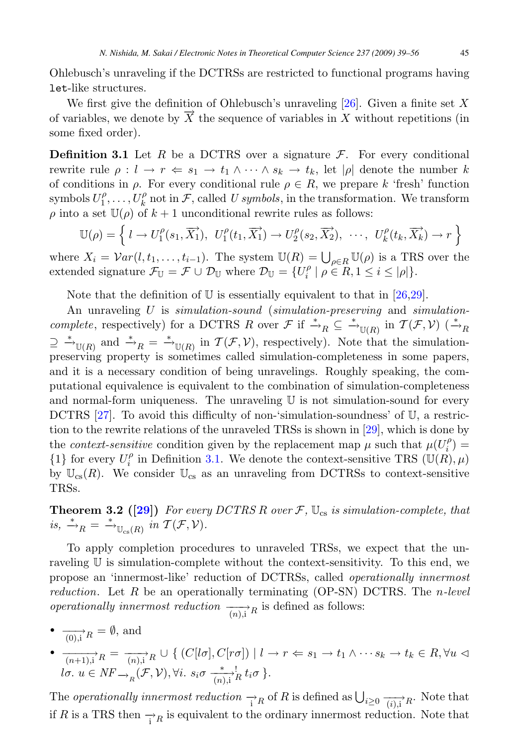Ohlebusch's unraveling if the DCTRSs are restricted to functional programs having let-like structures.

We first give the definition of Ohlebusch's unraveling [\[26\]](#page-17-0). Given a finite set X of variables, we denote by  $\overline{X}$  the sequence of variables in X without repetitions (in some fixed order).

**Definition 3.1** Let R be a DCTRS over a signature  $\mathcal{F}$ . For every conditional rewrite rule  $\rho: l \to r \Leftrightarrow s_1 \to t_1 \wedge \cdots \wedge s_k \to t_k$ , let  $|\rho|$  denote the number k of conditions in  $\rho$ . For every conditional rule  $\rho \in R$ , we prepare k 'fresh' function symbols  $U_1^{\rho}, \ldots, U_k^{\rho}$  not in  $\mathcal{F}$ , called U symbols, in the transformation. We transform a into a set  $\mathbb{H}(\rho)$  of  $k+1$  unconditional rewrite rules as follows:  $\rho$  into a set  $\mathbb{U}(\rho)$  of  $k+1$  unconditional rewrite rules as follows:

$$
\mathbb{U}(\rho) = \left\{ l \to U_1^{\rho}(s_1, \overrightarrow{X_1}), U_1^{\rho}(t_1, \overrightarrow{X_1}) \to U_2^{\rho}(s_2, \overrightarrow{X_2}), \cdots, U_k^{\rho}(t_k, \overrightarrow{X_k}) \to r \right\}
$$

where  $X_i = Var(l, t_1, \ldots, t_{i-1})$ . The system  $\mathbb{U}(R) = \bigcup_{\rho \in R} \mathbb{U}(\rho)$  is a TRS over the extended signature  $\mathcal{F}_{\mathbb{U}} = \mathcal{F} \cup \mathcal{D}_{\mathbb{U}}$  where  $\mathcal{D}_{\mathbb{U}} = H^{\rho} \cup \rho \in R$   $1 \leq i \leq |\rho|$ extended signature  $\mathcal{F}_{\mathbb{U}} = \mathcal{F} \cup \mathcal{D}_{\mathbb{U}}$  where  $\mathcal{D}_{\mathbb{U}} = \{U_i^{\rho} \mid \rho \in R, 1 \leq i \leq |\rho|\}.$ 

Note that the definition of  $U$  is essentially equivalent to that in [\[26,29\]](#page-17-0).

An unraveling U is simulation-sound (simulation-preserving and simulationcomplete, respectively) for a DCTRS R over  $\mathcal{F}$  if  $\stackrel{*}{\to}_R \subseteq \stackrel{*}{\to}_{\mathbb{U}(R)}$  in  $\mathcal{T}(\mathcal{F}, \mathcal{V})$   $\stackrel{*}{\to}_R$  $\supseteq \stackrel{*}{\rightarrow}_{\mathbb{U}(R)}$  and  $\stackrel{*}{\rightarrow}_R = \stackrel{*}{\rightarrow}_{\mathbb{U}(R)}$  in  $\mathcal{T}(\mathcal{F}, \mathcal{V})$ , respectively). Note that the simulation-<br>preserving property is sometimes called simulation completeness in some papers preserving property is sometimes called simulation-completeness in some papers, and it is a necessary condition of being unravelings. Roughly speaking, the computational equivalence is equivalent to the combination of simulation-completeness and normal-form uniqueness. The unraveling  $U$  is not simulation-sound for every DCTRS [\[27\]](#page-17-0). To avoid this difficulty of non-'simulation-soundness' of U, a restriction to the rewrite relations of the unraveled TRSs is shown in [\[29\]](#page-17-0), which is done by the *context-sensitive* condition given by the replacement map  $\mu$  such that  $\mu(U_i^{\rho}) =$ <br>  $\mu$  for every  $U^{\rho}$  in Definition 3.1. We denote the context sensitive TBS ( $\mathbb{E}[U(\rho), \mu]$ ) {1} for every  $U_i^{\rho}$  in Definition 3.1. We denote the context-sensitive TRS  $(\mathbb{U}(R), \mu)$ <br>by  $\mathbb{U}(R)$ . We consider  $\mathbb{U}$  as an unraveling from DCTRSs to context sensitive by  $\mathbb{U}_{\text{cs}}(R)$ . We consider  $\mathbb{U}_{\text{cs}}$  as an unraveling from DCTRSs to context-sensitive TRSs.

**Theorem 3.2 ([\[29\]](#page-17-0))** For every DCTRS R over  $\mathcal{F}$ ,  $\mathbb{U}_{cs}$  is simulation-complete, that is,  $\stackrel{*}{\rightarrow}_R = \stackrel{*}{\rightarrow}_{\mathbb{U}_{\text{cs}}(R)}$  in  $\mathcal{T}(\mathcal{F}, \mathcal{V})$ .

To apply completion procedures to unraveled TRSs, we expect that the unraveling  $\mathbb U$  is simulation-complete without the context-sensitivity. To this end, we propose an 'innermost-like' reduction of DCTRSs, called operationally innermost reduction. Let  $R$  be an operationally terminating (OP-SN) DCTRS. The *n*-level operationally innermost reduction  $\overrightarrow{(n)}$ , R is defined as follows:

- $\frac{\ }{\overrightarrow{(0)}\cdot\overrightarrow{i}}\cdot R} = \emptyset$ , and
- $\frac{ }{(-n+1),i}$ R =  $\frac{ }{(-n),i}$ R ∪ { (C[lσ], C[rσ]) | l → r  $\Leftarrow$  s<sub>1</sub> → t<sub>1</sub> ∧ ··· s<sub>k</sub> → t<sub>k</sub> ∈ R, ∀u ⊲ lσ.  $u \in NF \rightarrow_R (\mathcal{F}, \mathcal{V}), \forall i. s_i \sigma \xrightarrow[n], i} k t_i \sigma.$

The *operationally innermost reduction*  $\rightarrow_R$  of R is defined as  $\bigcup_{i\geq 0} \frac{1}{(i),i} R$ . Note that if R is a TRS then  $\rightarrow_R$  is equivalent to the ordinary innermost reduction. Note that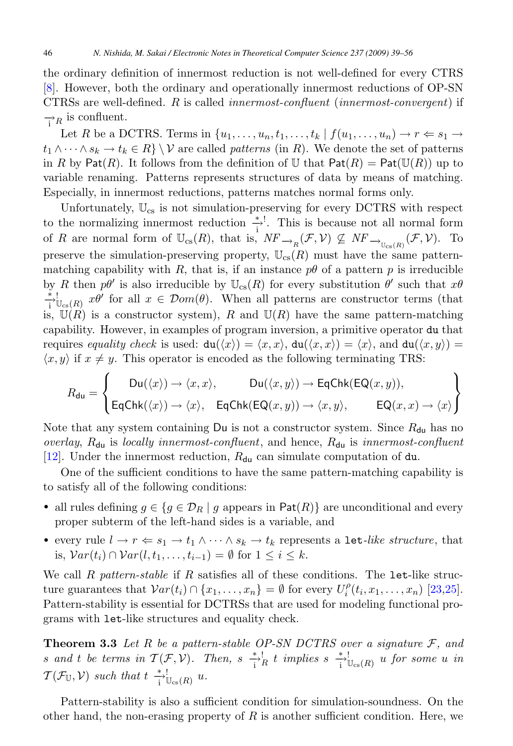the ordinary definition of innermost reduction is not well-defined for every CTRS [\[8\]](#page-16-0). However, both the ordinary and operationally innermost reductions of OP-SN CTRSs are well-defined. R is called innermost-confluent (innermost-convergent) if  $\rightarrow_R$  is confluent.

Let R be a DCTRS. Terms in  $\{u_1,\ldots,u_n,t_1,\ldots,t_k\mid f(u_1,\ldots,u_n)\to r\Leftarrow s_1\to s_2\}$  $t_1 \wedge \cdots \wedge s_k \to t_k \in R$   $\setminus \mathcal{V}$  are called *patterns* (in R). We denote the set of patterns in R by Pat(R). It follows from the definition of U that  $Pat(R) = Pat(\mathbb{U}(R))$  up to variable renaming. Patterns represents structures of data by means of matching. Especially, in innermost reductions, patterns matches normal forms only.

Unfortunately,  $\mathbb{U}_{cs}$  is not simulation-preserving for every DCTRS with respect to the normalizing innermost reduction  $\frac{*}{i}$ . This is because not all normal form of R are normal form of  $\mathbb{U}_{cs}(R)$ , that is,  $NF_{\rightarrow_R}(\mathcal{F}, \mathcal{V}) \nsubseteq NF_{\rightarrow_{\mathbb{U}_{cs}(R)}}(\mathcal{F}, \mathcal{V})$ . To preserve the simulation-preserving property,  $\mathbb{U}_{\text{cs}}(R)$  must have the same patternmatching capability with R, that is, if an instance  $p\theta$  of a pattern p is irreducible by R then  $p\theta'$  is also irreducible by  $\mathbb{U}_{cs}(R)$  for every substitution  $\theta'$  such that  $x\theta$ <br>  $\stackrel{*}{\to}$   $\downarrow$ ,  $\downarrow$ ,  $x\theta'$  for all  $x \in \mathcal{D}om(\theta)$ . When all patterns are constructor terms (that  $\mathcal{L}^{[1]}_{\text{i}}\mathbb{U}_{\text{cs}}(R)$   $x\theta'$  for all  $x \in \mathcal{D}om(\theta)$ . When all patterns are constructor terms (that is,  $\mathbb{U}(R)$  is a constructor system), R and  $\mathbb{U}(R)$  have the same pattern-matching capability. However, in examples of program inversion, a primitive operator du that requires equality check is used:  $du(\langle x \rangle) = \langle x, x \rangle$ ,  $du(\langle x, x \rangle) = \langle x \rangle$ , and  $du(\langle x, y \rangle) =$  $\langle x, y \rangle$  if  $x \neq y$ . This operator is encoded as the following terminating TRS:

$$
R_{\text{du}} = \begin{cases} \text{Du}(\langle x \rangle) \to \langle x, x \rangle, & \text{Du}(\langle x, y \rangle) \to \text{EqChk}(\text{EQ}(x, y)), \\ \text{EqChk}(\langle x \rangle) \to \langle x \rangle, & \text{EqChk}(\text{EQ}(x, y)) \to \langle x, y \rangle, & \text{EQ}(x, x) \to \langle x \rangle \end{cases}
$$

Note that any system containing  $Du$  is not a constructor system. Since  $R_{du}$  has no overlay,  $R_{du}$  is locally innermost-confluent, and hence,  $R_{du}$  is innermost-confluent [\[12\]](#page-16-0). Under the innermost reduction,  $R_{\text{du}}$  can simulate computation of du.

One of the sufficient conditions to have the same pattern-matching capability is to satisfy all of the following conditions:

- all rules defining  $g \in \{g \in \mathcal{D}_R \mid g \text{ appears in } \mathsf{Pat}(R)\}\$  are unconditional and every proper subterm of the left-hand sides is a variable, and
- every rule  $l \to r \Leftarrow s_1 \to t_1 \land \cdots \land s_k \to t_k$  represents a let-like structure, that is,  $Var(t_i) \cap Var(l, t_1, \ldots, t_{i-1}) = \emptyset$  for  $1 \leq i \leq k$ .

We call R pattern-stable if R satisfies all of these conditions. The let-like structure guarantees that  $Var(t_i) \cap \{x_1, \ldots, x_n\} = \emptyset$  for every  $U_i^{\rho}(t_i, x_1, \ldots, x_n)$  [\[23,25\]](#page-17-0).<br>Pattern stability is essential for DCTBSs that are used for modeling functional pro-Pattern-stability is essential for DCTRSs that are used for modeling functional programs with let-like structures and equality check.

**Theorem 3.3** Let R be a pattern-stable OP-SN DCTRS over a signature  $\mathcal{F}$ , and  $\mathcal{F}$  and  $\mathcal{F}$  be a series in  $\mathcal{T}(\mathcal{F}|\mathcal{V})$ . Then  $e^{-*,1}$  is implied  $e^{-*,1}$ s and t be terms in  $T(F, V)$ . Then,  $s \stackrel{*}{\longrightarrow} \frac{1}{i}$  t implies  $s \stackrel{*}{\longrightarrow} \frac{1}{i} \bigcup_{c \in (R)} u$  for some u in  $T(\mathcal{F}_{\mathbb{U}}, \mathcal{V})$  such that  $t \stackrel{*}{\longrightarrow} \mathcal{V}_{\text{cs}}(R)$  u.

Pattern-stability is also a sufficient condition for simulation-soundness. On the other hand, the non-erasing property of  $R$  is another sufficient condition. Here, we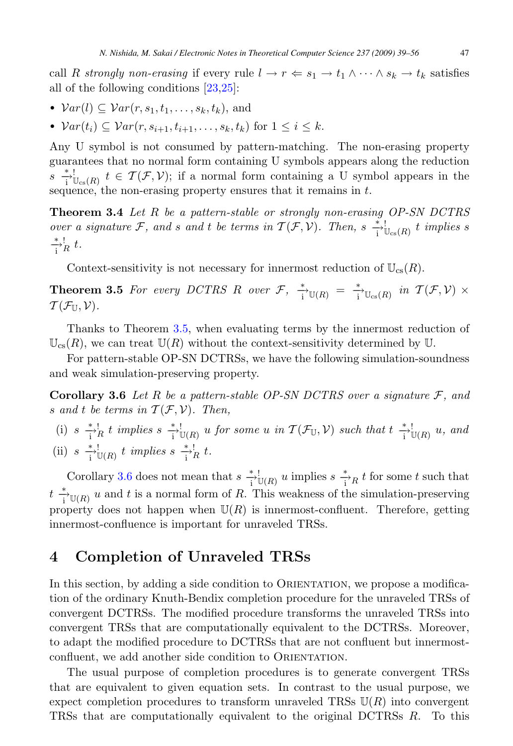<span id="page-8-0"></span>call R strongly non-erasing if every rule  $l \to r \Leftarrow s_1 \to t_1 \wedge \cdots \wedge s_k \to t_k$  satisfies all of the following conditions [\[23,25\]](#page-17-0):

- $Var(l) \subseteq Var(r, s_1, t_1, \ldots, s_k, t_k)$ , and
- $Var(t_i) \subset Var(r, s_{i+1}, t_{i+1}, \ldots, s_k, t_k)$  for  $1 \leq i \leq k$ .

Any U symbol is not consumed by pattern-matching. The non-erasing property guarantees that no normal form containing U symbols appears along the reduction  $s \stackrel{*}{\to}^!_{\text{U}_\text{cs}(R)} t \in \mathcal{T}(\mathcal{F}, \mathcal{V});$  if a normal form containing a U symbol appears in the sequence, the non-erasing property ensures that it remains in  $t$ .

**Theorem 3.4** Let R be a pattern-stable or strongly non-erasing OP-SN DCTRS over a signature F, and s and t be terms in  $T(F, V)$ . Then, s  $\frac{*}{i} \bigcup_{\substack{s \ s \to \ b}} t$  implies s  $\frac{1}{i}R$  t.

Context-sensitivity is not necessary for innermost reduction of  $\mathbb{U}_{cs}(R)$ .

**Theorem 3.5** For every DCTRS R over  $\mathcal{F}$ ,  $\frac{*}{i}$   $\mathbb{U}(R) = \frac{*}{i}$   $\mathbb{U}_{\text{cs}}(R)$  in  $\mathcal{T}(\mathcal{F}, \mathcal{V}) \times$  $\mathcal{T}(\mathcal{F}_{\mathbb{U}}, \mathcal{V}).$ 

Thanks to Theorem 3.5, when evaluating terms by the innermost reduction of  $\mathbb{U}_{\text{cs}}(R)$ , we can treat  $\mathbb{U}(R)$  without the context-sensitivity determined by U.

For pattern-stable OP-SN DCTRSs, we have the following simulation-soundness and weak simulation-preserving property.

**Corollary 3.6** Let R be a pattern-stable OP-SN DCTRS over a signature  $F$ , and s and t be terms in  $\mathcal{T}(\mathcal{F}, \mathcal{V})$ . Then,

(i)  $s \xrightarrow{i} R t$  implies  $s \xrightarrow{i} U(R) u$  for some u in  $\mathcal{T}(\mathcal{F}_{\mathbb{U}}, \mathcal{V})$  such that  $t \xrightarrow{i} U(R) u$ , and (ii)  $s \xrightarrow[i \text{ } \mathbb{U}(R)]{} t \implies s \xrightarrow[i \text{ } R]{} t.$ 

Corollary 3.6 does not mean that  $s \stackrel{*}{\underset{1}{\rightarrow}} \mathbb{U}(R)$  u implies  $s \stackrel{*}{\underset{1}{\rightarrow}} R$  t for some t such that  $t \stackrel{*}{\to} \mathbb{U}(R)$  u and t is a normal form of R. This weakness of the simulation-preserving<br>property does not happen when  $\mathbb{I}(R)$  is imaginate confluent. Therefore, getting property does not happen when  $\mathbb{U}(R)$  is innermost-confluent. Therefore, getting innermost-confluence is important for unraveled TRSs.

## **4 Completion of Unraveled TRSs**

In this section, by adding a side condition to ORIENTATION, we propose a modification of the ordinary Knuth-Bendix completion procedure for the unraveled TRSs of convergent DCTRSs. The modified procedure transforms the unraveled TRSs into convergent TRSs that are computationally equivalent to the DCTRSs. Moreover, to adapt the modified procedure to DCTRSs that are not confluent but innermostconfluent, we add another side condition to ORIENTATION.

The usual purpose of completion procedures is to generate convergent TRSs that are equivalent to given equation sets. In contrast to the usual purpose, we expect completion procedures to transform unraveled TRSs  $\mathbb{U}(R)$  into convergent TRSs that are computationally equivalent to the original DCTRSs R. To this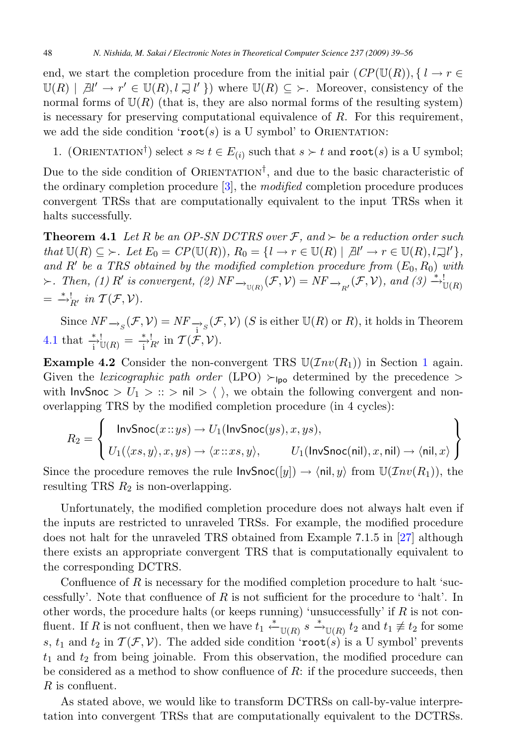<span id="page-9-0"></span>end, we start the completion procedure from the initial pair  $(CP(\mathbb{U}(R)), \{l \to r \in$  $\mathbb{U}(R) \mid \mathcal{A}^{l} \to r' \in \mathbb{U}(R), l \supsetneq l'$  where  $\mathbb{U}(R) \subseteq \succ$ . Moreover, consistency of the normal forms of  $\mathbb{U}(R)$  (that is they are also normal forms of the resulting system) normal forms of  $U(R)$  (that is, they are also normal forms of the resulting system) is necessary for preserving computational equivalence of  $R$ . For this requirement, we add the side condition ' $root(s)$  is a U symbol' to ORIENTATION:

1. (ORIENTATION<sup>†</sup>) select  $s \approx t \in E_{(i)}$  such that  $s \succ t$  and  $\text{root}(s)$  is a U symbol;

Due to the side condition of ORIENTATION<sup>†</sup>, and due to the basic characteristic of the ordinary completion procedure [\[3\]](#page-16-0), the modified completion procedure produces convergent TRSs that are computationally equivalent to the input TRSs when it halts successfully.

**Theorem 4.1** Let R be an OP-SN DCTRS over F, and  $\succ$  be a reduction order such that  $\mathbb{U}(R) \subseteq \succ$ . Let  $E_0 = CP(\mathbb{U}(R)), R_0 = \{l \to r \in \mathbb{U}(R) \mid \mathcal{A}l' \to r \in \mathbb{U}(R), l \supsetneq l'\},$ <br>and  $R'$  be a TBS obtained by the modified completion procedure from  $(F_2, F_2)$  with and R' be a TRS obtained by the modified completion procedure from  $(E_0, R_0)$  with<br>  $\leftarrow$  Then (1) R' is convergent (9) NF ( $\mathcal{F}(\mathcal{V}) = N$ F ( $\mathcal{F}(\mathcal{V})$ ) and (3)  $\stackrel{*}{\rightarrow}$ !  $\succ$ . Then, (1) R' is convergent, (2)  $NF_{\longrightarrow_{U(R)}}(\mathcal{F}, \mathcal{V}) = NF_{\longrightarrow_{R'}}(\mathcal{F}, \mathcal{V})$ , and (3)  $\stackrel{*+}{\longrightarrow}_{U(R)}$  $=$   $\stackrel{*}{\rightarrow}_{R'}$  in  $\mathcal{T}(\mathcal{F}, \mathcal{V})$ .

Since  $NF_{\rightarrow_S}(\mathcal{F}, \mathcal{V}) = NF_{\rightarrow_S}(\mathcal{F}, \mathcal{V})$  (S is either  $\mathbb{U}(R)$  or R), it holds in Theorem 4.1 that  $\frac{*}{i}$ <sup>1</sup> $\mathbb{U}(R) = \frac{*}{i}$ <sup>1</sup> $R'$  in  $\mathcal{T}(\mathcal{F}, \mathcal{V})$ .

**Example 4.2** Consider the non-convergent TRS  $U(\mathcal{I}nv(R_1))$  $U(\mathcal{I}nv(R_1))$  $U(\mathcal{I}nv(R_1))$  in Section 1 again. Given the lexicographic path order (LPO)  $\succ$ <sub>lpo</sub> determined by the precedence > with InvSnoc  $> U_1 > :: > \text{nil} > \langle , \rangle$ , we obtain the following convergent and nonoverlapping TRS by the modified completion procedure (in 4 cycles):

$$
R_2 = \left\{ \begin{array}{l} \textsf{InvSnoc}(x::ys) \to U_1(\textsf{InvSnoc}(ys), x, ys), \\ U_1(\langle xs, y \rangle, x, ys) \to \langle x::xs, y \rangle, \qquad U_1(\textsf{InvSnoc}(nil), x, nil) \to \langle nil, x \rangle \end{array} \right\}
$$

Since the procedure removes the rule  $\textsf{InvSnoc}([y]) \to \langle \textsf{nil}, y \rangle$  from  $\mathbb{U}(\mathcal{I}nv(R_1)),$  the resulting TRS  $R_2$  is non-overlapping.

Unfortunately, the modified completion procedure does not always halt even if the inputs are restricted to unraveled TRSs. For example, the modified procedure does not halt for the unraveled TRS obtained from Example 7.1.5 in [\[27\]](#page-17-0) although there exists an appropriate convergent TRS that is computationally equivalent to the corresponding DCTRS.

Confluence of  $R$  is necessary for the modified completion procedure to halt 'successfully'. Note that confluence of  $R$  is not sufficient for the procedure to 'halt'. In other words, the procedure halts (or keeps running) 'unsuccessfully' if  $R$  is not conother words, the procedure halts (or keeps running) 'unsuccessfully' if R is not con-<br>fluort. If R is not confluort, then we have  $t_{\star} \stackrel{*}{\sim}$  for and  $t_{\star} \neq t_{\star}$  for some fluent. If R is not confluent, then we have  $t_1 \stackrel{*}{\leftarrow} \mathbb{U}(R)$  s  $\stackrel{*}{\rightarrow} \mathbb{U}(R)$  t<sub>2</sub> and  $t_1 \not\equiv t_2$  for some s,  $t_1$  and  $t_2$  in  $\mathcal{T}(\mathcal{F}, \mathcal{V})$ . The added side condition 'root(s) is a U symbol' prevents  $t_1$  and  $t_2$  from being joinable. From this observation, the modified procedure can be considered as a method to show confluence of  $R$ : if the procedure succeeds, then R is confluent.

As stated above, we would like to transform DCTRSs on call-by-value interpretation into convergent TRSs that are computationally equivalent to the DCTRSs.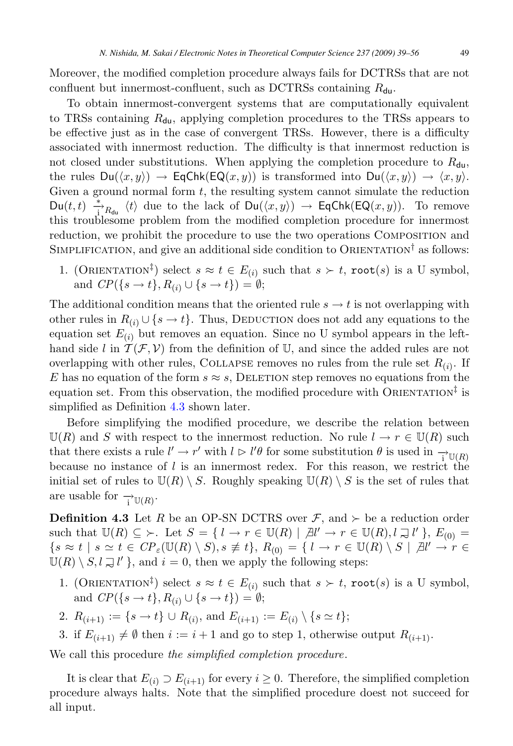Moreover, the modified completion procedure always fails for DCTRSs that are not confluent but innermost-confluent, such as DCTRSs containing  $R_{\text{du}}$ .

To obtain innermost-convergent systems that are computationally equivalent to TRSs containing  $R_{\text{du}}$ , applying completion procedures to the TRSs appears to be effective just as in the case of convergent TRSs. However, there is a difficulty associated with innermost reduction. The difficulty is that innermost reduction is not closed under substitutions. When applying the completion procedure to  $R_{\text{du}}$ , the rules  $Du(\langle x, y \rangle) \rightarrow EqChk(Eq(x, y))$  is transformed into  $Du(\langle x, y \rangle) \rightarrow \langle x, y \rangle$ . Given a ground normal form  $t$ , the resulting system cannot simulate the reduction  $D\mathbf{u}(t,t) \stackrel{*}{\to}_{R_{\mathbf{du}}} \langle t \rangle$  due to the lack of  $D\mathbf{u}(\langle x,y \rangle) \to \mathsf{EqChk}(\mathsf{EQ}(x,y)).$  To remove this troublesome problem from the modified completion procedure for innermost reduction, we prohibit the procedure to use the two operations Composition and SIMPLIFICATION, and give an additional side condition to ORIENTATION<sup>†</sup> as follows:

1. (ORIENTATION<sup>‡</sup>) select  $s \approx t \in E_{(i)}$  such that  $s \succ t$ , root(s) is a U symbol, and  $CP({s \rightarrow t}, R_{(i)} \cup {s \rightarrow t}) = \emptyset;$ 

The additional condition means that the oriented rule  $s \to t$  is not overlapping with other rules in  $R_{(i)} \cup \{s \to t\}$ . Thus, DEDUCTION does not add any equations to the equation set  $E_{(i)}$  but removes an equation. Since no U symbol appears in the lefthand side l in  $\mathcal{T}(\mathcal{F}, V)$  from the definition of U, and since the added rules are not overlapping with other rules, COLLAPSE removes no rules from the rule set  $R_{(i)}$ . If E has no equation of the form  $s \approx s$ , DELETION step removes no equations from the equation set. From this observation, the modified procedure with ORIENTATION<sup> $\ddagger$ </sup> is simplified as Definition 4.3 shown later.

Before simplifying the modified procedure, we describe the relation between  $\mathbb{U}(R)$  and S with respect to the innermost reduction. No rule  $l \to r \in \mathbb{U}(R)$  such that there exists a rule  $l' \to r'$  with  $l \triangleright l' \theta$  for some substitution  $\theta$  is used in  $\rightarrow \nu(R)$ <br>because no instance of l is an innermost rodox. For this reason, we restrict the because no instance of  $l$  is an innermost redex. For this reason, we restrict the initial set of rules to  $\mathbb{U}(R) \setminus S$ . Roughly speaking  $\mathbb{U}(R) \setminus S$  is the set of rules that are usable for  $\rightarrow_{\mathbb{U}(R)}$ .

**Definition 4.3** Let R be an OP-SN DCTRS over  $\mathcal{F}$ , and  $\succ$  be a reduction order such that  $\mathbb{U}(R) \subseteq \ \succ$ . Let  $S = \{ l \to r \in \mathbb{U}(R) \mid \exists l' \to r \in \mathbb{U}(R), l \equiv l' \}, E_{(0)} =$  $\{s \approx t \mid s \simeq t \in CP_{\varepsilon}(\mathbb{U}(R) \setminus S), s \not\equiv t\}, R_{(0)} = \{l \to r \in \mathbb{U}(R) \setminus S \mid \mathbb{A}l' \to r \in \mathbb{H}(R) \setminus S \mid \mathbb{A}l' \to r \in \mathbb{H}(R) \setminus S \mid \mathbb{A}l' \to r \in \mathbb{H}(R) \setminus S \mid \mathbb{A}l' \to r \in \mathbb{H}(R) \setminus S \mid \mathbb{A}l' \to r \in \mathbb{H}(R) \setminus S \mid \mathbb{A}l' \to r \in$  $\mathbb{U}(R) \setminus S, l \supsetneq l'$ , and  $i = 0$ , then we apply the following steps:

- 1. (ORIENTATION<sup>‡</sup>) select  $s \approx t \in E_{(i)}$  such that  $s \succ t$ , root(s) is a U symbol, and  $CP({s \rightarrow t}, R_{(i)} \cup {s \rightarrow t}) = \emptyset;$
- 2.  $R_{(i+1)} := \{s \to t\} \cup R_{(i)}$ , and  $E_{(i+1)} := E_{(i)} \setminus \{s \simeq t\};$
- 3. if  $E_{(i+1)} \neq \emptyset$  then  $i := i + 1$  and go to step 1, otherwise output  $R_{(i+1)}$ .

We call this procedure the simplified completion procedure.

It is clear that  $E_{(i)} \supset E_{(i+1)}$  for every  $i \geq 0$ . Therefore, the simplified completion procedure always halts. Note that the simplified procedure doest not succeed for all input.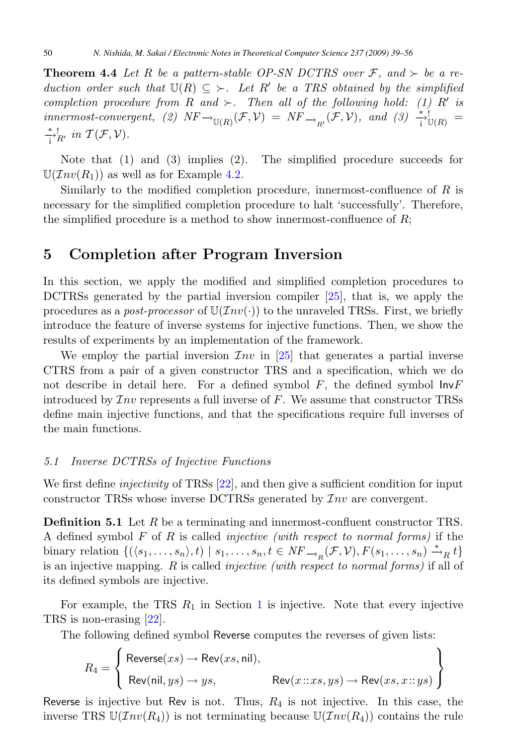<span id="page-11-0"></span>**Theorem 4.4** Let R be a pattern-stable OP-SN DCTRS over  $\mathcal{F}$ , and  $\succ$  be a reduction order such that  $\mathbb{U}(R) \subseteq \rightarrow$ . Let R' be a TRS obtained by the simplified<br>completion procedure from B and  $\subseteq$  Then all of the following hold: (1) R' is completion procedure from R and  $\succ$ . Then all of the following hold: (1) R' is<br>innermost-convergent (2)  $NF \rightarrow (F \mathcal{V}) - NF - (F \mathcal{V})$  and (3)  $^{*1}_{-1}$  $innermost-convergent, (2) \; NF \rightarrow_{\mathbb{U}(R)} (\mathcal{F}, \mathcal{V}) = NF \rightarrow_{R'} (\mathcal{F}, \mathcal{V}), \; and \; (3) \; \frac{*!}{i} \mathbb{U}(R) =$ <br> $*! \; : \; \mathcal{F}(\mathcal{F}, \mathcal{V})$  $\stackrel{*}{\rightarrow}_{R'}^!$  in  $\mathcal{T}(\mathcal{F}, \mathcal{V})$ .

Note that (1) and (3) implies (2). The simplified procedure succeeds for  $\mathbb{U}(\mathcal{I}nv(R_1))$  as well as for Example [4.2.](#page-9-0)

Similarly to the modified completion procedure, innermost-confluence of  $R$  is necessary for the simplified completion procedure to halt 'successfully'. Therefore, the simplified procedure is a method to show innermost-confluence of  $R$ ;

## **5 Completion after Program Inversion**

In this section, we apply the modified and simplified completion procedures to DCTRSs generated by the partial inversion compiler [\[25\]](#page-17-0), that is, we apply the procedures as a *post-processor* of  $\mathbb{U}(\mathcal{I}nv(\cdot))$  to the unraveled TRSs. First, we briefly introduce the feature of inverse systems for injective functions. Then, we show the results of experiments by an implementation of the framework.

We employ the partial inversion  $\mathcal{I}nv$  in [\[25\]](#page-17-0) that generates a partial inverse CTRS from a pair of a given constructor TRS and a specification, which we do not describe in detail here. For a defined symbol  $F$ , the defined symbol  $InvF$ introduced by  $\mathcal{I}nv$  represents a full inverse of F. We assume that constructor TRSs define main injective functions, and that the specifications require full inverses of the main functions.

#### 5.1 Inverse DCTRSs of Injective Functions

We first define *injectivity* of TRSs [\[22\]](#page-17-0), and then give a sufficient condition for input constructor TRSs whose inverse DCTRSs generated by  $\mathcal{I}nv$  are convergent.

**Definition 5.1** Let R be a terminating and innermost-confluent constructor TRS. A defined symbol  $F$  of  $R$  is called *injective (with respect to normal forms)* if the binary relation  $\{(\langle s_1,\ldots,s_n\rangle,t) \mid s_1,\ldots,s_n, t \in NF_{\longrightarrow_R}(\mathcal{F},\mathcal{V}), F(s_1,\ldots,s_n) \stackrel{*}{\longrightarrow}_R t\}$ is an injective mapping. R is called injective (with respect to normal forms) if all of its defined symbols are injective.

For example, the TRS  $R_1$  $R_1$  in Section 1 is injective. Note that every injective TRS is non-erasing [\[22\]](#page-17-0).

The following defined symbol Reverse computes the reverses of given lists:

$$
R_4 = \left\{ \begin{array}{l} \text{Reverse}(xs) \to \text{Rev}(xs, \text{nil}), \\ \text{Rev}(\text{nil}, ys) \to ys, \end{array} \right. \quad \text{Rev}(x::xs, ys) \to \text{Rev}(xs, x::ys) \end{array} \right\}
$$

Reverse is injective but Rev is not. Thus,  $R_4$  is not injective. In this case, the inverse TRS  $\mathbb{U}(\mathcal{I}nv(R_4))$  is not terminating because  $\mathbb{U}(\mathcal{I}nv(R_4))$  contains the rule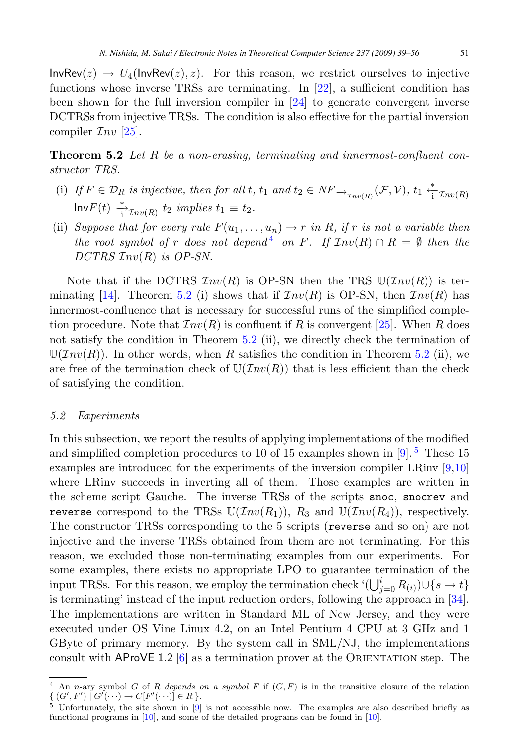<span id="page-12-0"></span> $InvRev(z) \rightarrow U_4(InvRev(z), z)$ . For this reason, we restrict ourselves to injective functions whose inverse TRSs are terminating. In [\[22\]](#page-17-0), a sufficient condition has been shown for the full inversion compiler in [\[24\]](#page-17-0) to generate convergent inverse DCTRSs from injective TRSs. The condition is also effective for the partial inversion compiler  $\mathcal{I}nv$  [\[25\]](#page-17-0).

**Theorem 5.2** Let R be a non-erasing, terminating and innermost-confluent constructor TRS.

- (i) If  $F \in \mathcal{D}_R$  is injective, then for all t,  $t_1$  and  $t_2 \in NF \rightarrow_{\mathcal{I}_{\mathcal{D}v(R)}} (\mathcal{F}, \mathcal{V}), t_1 \stackrel{*}{\rightarrow} \mathcal{I}_{\mathcal{D}v(R)}$  $\mathsf{Inv}F(t) \xrightarrow[i]{*}_{\exists \mathcal{I}nv(R)} t_2 \implies t_1 \equiv t_2.$
- (ii) Suppose that for every rule  $F(u_1,\ldots,u_n) \to r$  in R, if r is not a variable then the root symbol of r does not depend<sup>4</sup> on F. If  $\mathcal{I}nv(R) \cap R = \emptyset$  then the  $DCTRS$   $Inv(R)$  is  $OP-SN$ .

Note that if the DCTRS  $Inv(R)$  is OP-SN then the TRS  $U(Tnv(R))$  is ter-minating [\[14\]](#page-16-0). Theorem 5.2 (i) shows that if  $\mathcal{I}nv(R)$  is OP-SN, then  $\mathcal{I}nv(R)$  has innermost-confluence that is necessary for successful runs of the simplified completion procedure. Note that  $\mathcal{I}nv(R)$  is confluent if R is convergent [\[25\]](#page-17-0). When R does not satisfy the condition in Theorem 5.2 (ii), we directly check the termination of  $\mathbb{U}(Inv(R))$ . In other words, when R satisfies the condition in Theorem 5.2 (ii), we are free of the termination check of  $\mathbb{U}(\mathcal{I}nv(R))$  that is less efficient than the check of satisfying the condition.

#### 5.2 Experiments

In this subsection, we report the results of applying implementations of the modified and simplified completion procedures to 10 of 15 examples shown in  $[9]$ .<sup>5</sup> These 15 examples are introduced for the experiments of the inversion compiler LRinv [\[9,10\]](#page-16-0) where LRinv succeeds in inverting all of them. Those examples are written in the scheme script Gauche. The inverse TRSs of the scripts snoc, snocrev and reverse correspond to the TRSs  $\mathbb{U}(Inv(R_1)), R_3$  and  $\mathbb{U}(Inv(R_4)),$  respectively. The constructor TRSs corresponding to the 5 scripts (reverse and so on) are not injective and the inverse TRSs obtained from them are not terminating. For this reason, we excluded those non-terminating examples from our experiments. For some examples, there exists no appropriate LPO to guarantee termination of the input TRSs. For this reason, we employ the termination check ' $(\bigcup_{j=0}^{i} R_{(i)}) \cup \{s \to t\}$ <br>is terminating' instead of the input reduction orders, following the approach in [34] is terminating' instead of the input reduction orders, following the approach in [\[34\]](#page-17-0). The implementations are written in Standard ML of New Jersey, and they were executed under OS Vine Linux 4.2, on an Intel Pentium 4 CPU at 3 GHz and 1 GByte of primary memory. By the system call in SML/NJ, the implementations consult with AProVE 1.2  $[6]$  as a termination prover at the ORIENTATION step. The

<sup>&</sup>lt;sup>4</sup> An n-ary symbol G of R depends on a symbol F if  $(G, F)$  is in the transitive closure of the relation  $\{ (G',F') \mid G'(\cdots) \to C[F']\}$ 

 $^5$  Unfortunately, the site shown in [\[9\]](#page-16-0) is not accessible now. The examples are also described briefly as functional programs in [\[10\]](#page-16-0), and some of the detailed programs can be found in [\[10\]](#page-16-0).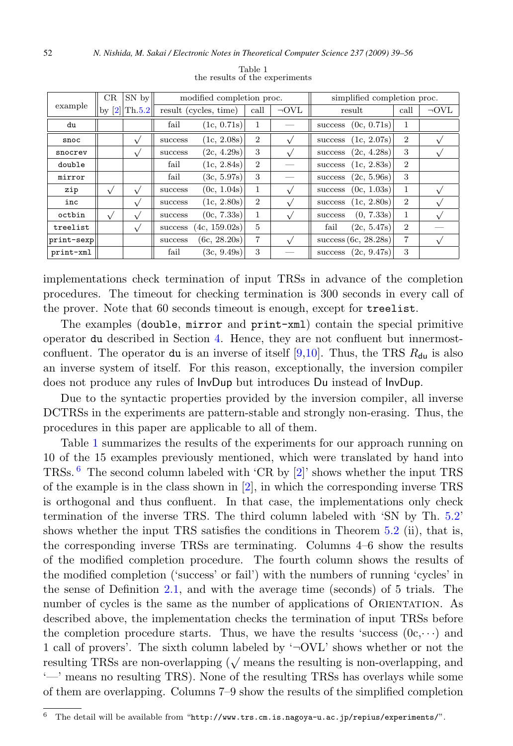|            | CR | SN by           | modified completion proc. |                       |                | simplified completion proc. |                        |                |            |
|------------|----|-----------------|---------------------------|-----------------------|----------------|-----------------------------|------------------------|----------------|------------|
| example    |    | by $[2]$ Th.5.2 |                           | result (cycles, time) | call           | $\neg$ OVL                  | result                 | call           | $\neg$ OVL |
| du         |    |                 | fail                      | (1c, 0.71s)           | 1              |                             | (0c, 0.71s)<br>success | 1              |            |
| snoc       |    | $\sqrt{}$       | success                   | (1c, 2.08s)           | $\overline{2}$ |                             | (1c, 2.07s)<br>success | $\overline{2}$ |            |
| snocrev    |    |                 | success                   | (2c, 4.29s)           | 3              |                             | (2c, 4.28s)<br>success | 3              |            |
| double     |    |                 | fail                      | (1c, 2.84s)           | $\overline{2}$ |                             | (1c, 2.83s)<br>success | $\overline{2}$ |            |
| mirror     |    |                 | fail                      | (3c, 5.97s)           | 3              |                             | (2c, 5.96s)<br>success | 3              |            |
| zip        |    | $\sqrt{}$       | success                   | (0c, 1.04s)           | 1              |                             | (0c, 1.03s)<br>success | 1              |            |
| inc        |    |                 | success                   | (1c, 2.80s)           | $\overline{2}$ |                             | (1c, 2.80s)<br>success | $\overline{2}$ |            |
| octbin     |    |                 | success                   | (0c, 7.33s)           | 1              |                             | (0, 7.33s)<br>success  | 1              |            |
| treelist   |    | $\sqrt{ }$      | success                   | (4c, 159.02s)         | $\overline{5}$ |                             | fail<br>(2c, 5.47s)    | $\overline{2}$ |            |
| print-sexp |    |                 | success                   | (6c, 28.20s)          | 7              |                             | success $(6c, 28.28s)$ | $\overline{7}$ |            |
| print-xml  |    |                 | fail                      | (3c, 9.49s)           | 3              |                             | (2c, 9.47s)<br>success | 3              |            |

Table 1 the results of the experiments

implementations check termination of input TRSs in advance of the completion procedures. The timeout for checking termination is 300 seconds in every call of the prover. Note that 60 seconds timeout is enough, except for treelist.

The examples (double, mirror and print-xml) contain the special primitive operator du described in Section [4.](#page-8-0) Hence, they are not confluent but innermost-confluent. The operator du is an inverse of itself [\[9,10\]](#page-16-0). Thus, the TRS  $R_{\text{du}}$  is also an inverse system of itself. For this reason, exceptionally, the inversion compiler does not produce any rules of InvDup but introduces Du instead of InvDup.

Due to the syntactic properties provided by the inversion compiler, all inverse DCTRSs in the experiments are pattern-stable and strongly non-erasing. Thus, the procedures in this paper are applicable to all of them.

Table 1 summarizes the results of the experiments for our approach running on 10 of the 15 examples previously mentioned, which were translated by hand into TRSs. <sup>6</sup> The second column labeled with 'CR by [\[2\]](#page-16-0)' shows whether the input TRS of the example is in the class shown in  $[2]$ , in which the corresponding inverse TRS is orthogonal and thus confluent. In that case, the implementations only check termination of the inverse TRS. The third column labeled with 'SN by Th. [5.2'](#page-12-0) shows whether the input TRS satisfies the conditions in Theorem [5.2](#page-12-0) (ii), that is, the corresponding inverse TRSs are terminating. Columns 4–6 show the results of the modified completion procedure. The fourth column shows the results of the modified completion ('success' or fail') with the numbers of running 'cycles' in the sense of Definition [2.1,](#page-5-0) and with the average time (seconds) of 5 trials. The number of cycles is the same as the number of applications of ORIENTATION. As described above, the implementation checks the termination of input TRSs before the completion procedure starts. Thus, we have the results 'success  $(0c, \dots)$  and 1 call of provers'. The sixth column labeled by  $\sim$  OVL' shows whether or not the resulting TRSs are non-overlapping  $(\sqrt{\sqrt{m}})$  means the resulting is non-overlapping, and '—' means no resulting TRS). None of the resulting TRSs has overlays while some of them are overlapping. Columns 7–9 show the results of the simplified completion

 $6$  The detail will be available from "http://www.trs.cm.is.nagoya-u.ac.jp/repius/experiments/".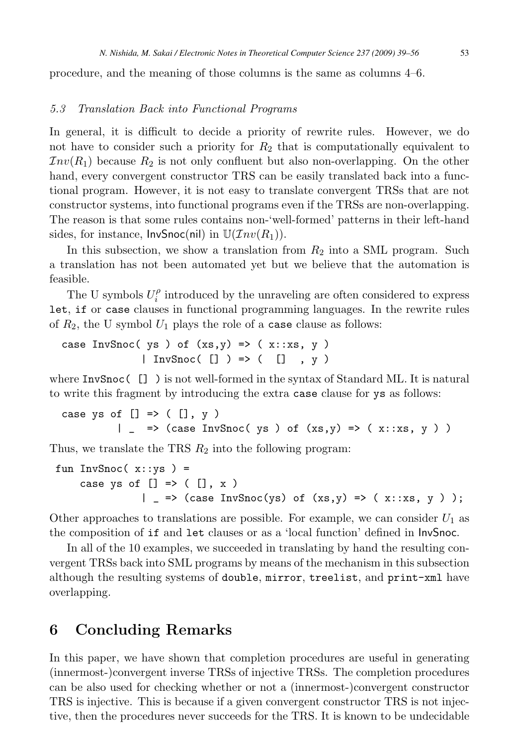<span id="page-14-0"></span>procedure, and the meaning of those columns is the same as columns 4–6.

#### 5.3 Translation Back into Functional Programs

In general, it is difficult to decide a priority of rewrite rules. However, we do not have to consider such a priority for  $R_2$  that is computationally equivalent to  $Inv(R_1)$  because  $R_2$  is not only confluent but also non-overlapping. On the other hand, every convergent constructor TRS can be easily translated back into a functional program. However, it is not easy to translate convergent TRSs that are not constructor systems, into functional programs even if the TRSs are non-overlapping. The reason is that some rules contains non-'well-formed' patterns in their left-hand sides, for instance,  $InvSnoc(nil)$  in  $\mathbb{U}(Inv(R_1)).$ 

In this subsection, we show a translation from  $R_2$  into a SML program. Such a translation has not been automated yet but we believe that the automation is feasible.

The U symbols  $U_i^{\rho}$  introduced by the unraveling are often considered to express<br>if or case clauses in functional programming languages. In the rewrite rules let, if or case clauses in functional programming languages. In the rewrite rules of  $R_2$ , the U symbol  $U_1$  plays the role of a case clause as follows:

```
case InvSnoc( ys ) of (xs,y) \Rightarrow (x::xs, y)
             | InvSnoc( | ) => ( | , y)
```
where InvSnoc( [] ) is not well-formed in the syntax of Standard ML. It is natural to write this fragment by introducing the extra case clause for ys as follows:

```
case ys of [] \Rightarrow ([] \cdot y)| _ => (case InvSnoc( ys ) of (xs,y) => (x::xs, y))
```
Thus, we translate the TRS  $R_2$  into the following program:

```
fun InvSnoc(x::ys) =case ys of [] => ([], x)| => (case InvSnoc(ys) of (xs,y) => (x::xs, y ) );
```
Other approaches to translations are possible. For example, we can consider  $U_1$  as the composition of if and let clauses or as a 'local function' defined in InvSnoc.

In all of the 10 examples, we succeeded in translating by hand the resulting convergent TRSs back into SML programs by means of the mechanism in this subsection although the resulting systems of double, mirror, treelist, and print-xml have overlapping.

## **6 Concluding Remarks**

In this paper, we have shown that completion procedures are useful in generating (innermost-)convergent inverse TRSs of injective TRSs. The completion procedures can be also used for checking whether or not a (innermost-)convergent constructor TRS is injective. This is because if a given convergent constructor TRS is not injective, then the procedures never succeeds for the TRS. It is known to be undecidable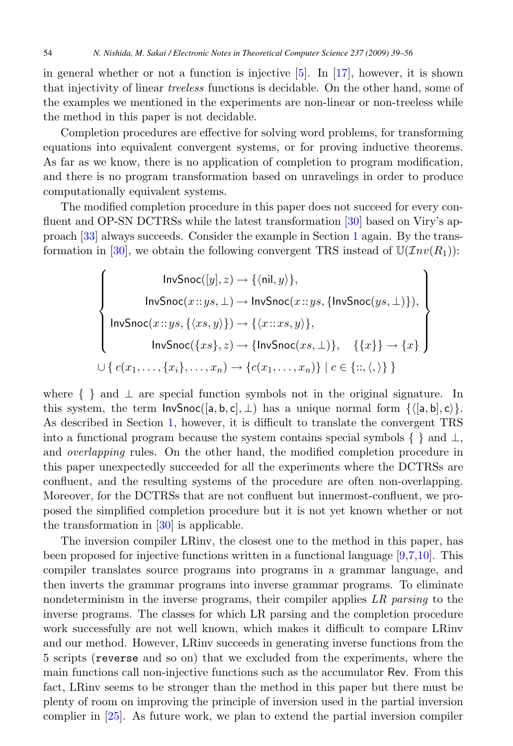in general whether or not a function is injective  $[5]$ . In  $[17]$ , however, it is shown that injectivity of linear treeless functions is decidable. On the other hand, some of the examples we mentioned in the experiments are non-linear or non-treeless while the method in this paper is not decidable.

Completion procedures are effective for solving word problems, for transforming equations into equivalent convergent systems, or for proving inductive theorems. As far as we know, there is no application of completion to program modification, and there is no program transformation based on unravelings in order to produce computationally equivalent systems.

The modified completion procedure in this paper does not succeed for every confluent and OP-SN DCTRSs while the latest transformation [\[30\]](#page-17-0) based on Viry's approach [\[33\]](#page-17-0) always succeeds. Consider the example in Section [1](#page-0-0) again. By the trans-formation in [\[30\]](#page-17-0), we obtain the following convergent TRS instead of  $\mathbb{U}(\mathcal{I}nv(R_1))$ :

$$
\left\{\n\begin{array}{c}\n\text{InvSnoc}([y], z) \to \{\langle \text{nil}, y \rangle\}, \\
\text{InvSnoc}(x::ys, \bot) \to \text{InvSnoc}(x::ys, \{\text{InvSnoc}(ys, \bot)\}), \\
\text{InvSnoc}(x::ys, \{\langle xs, y \rangle\}) \to \{\langle x::xs, y \rangle\}, \\
\text{InvSnoc}(\{xs\}, z) \to \{\text{InvSnoc}(xs, \bot)\}, \quad \{\{x\}\} \to \{x\} \\
\cup \{c(x_1, \ldots, \{x_i\}, \ldots, x_n) \to \{c(x_1, \ldots, x_n)\} \mid c \in \{\vdots; \langle, \rangle\}\}\n\end{array}\n\right\}
$$

where  $\{\}$  and  $\perp$  are special function symbols not in the original signature. In this system, the term  $InvSnoc([a, b, c], \perp)$  has a unique normal form  $\{([a, b], c)\}.$ As described in Section [1,](#page-0-0) however, it is difficult to translate the convergent TRS into a functional program because the system contains special symbols  $\{\}\$  and  $\bot$ , and overlapping rules. On the other hand, the modified completion procedure in this paper unexpectedly succeeded for all the experiments where the DCTRSs are confluent, and the resulting systems of the procedure are often non-overlapping. Moreover, for the DCTRSs that are not confluent but innermost-confluent, we proposed the simplified completion procedure but it is not yet known whether or not the transformation in  $[30]$  is applicable.

The inversion compiler LRinv, the closest one to the method in this paper, has been proposed for injective functions written in a functional language [\[9,7,10\]](#page-16-0). This compiler translates source programs into programs in a grammar language, and then inverts the grammar programs into inverse grammar programs. To eliminate nondeterminism in the inverse programs, their compiler applies LR parsing to the inverse programs. The classes for which LR parsing and the completion procedure work successfully are not well known, which makes it difficult to compare LRinv and our method. However, LRinv succeeds in generating inverse functions from the 5 scripts (reverse and so on) that we excluded from the experiments, where the main functions call non-injective functions such as the accumulator Rev. From this fact, LRinv seems to be stronger than the method in this paper but there must be plenty of room on improving the principle of inversion used in the partial inversion complier in [\[25\]](#page-17-0). As future work, we plan to extend the partial inversion compiler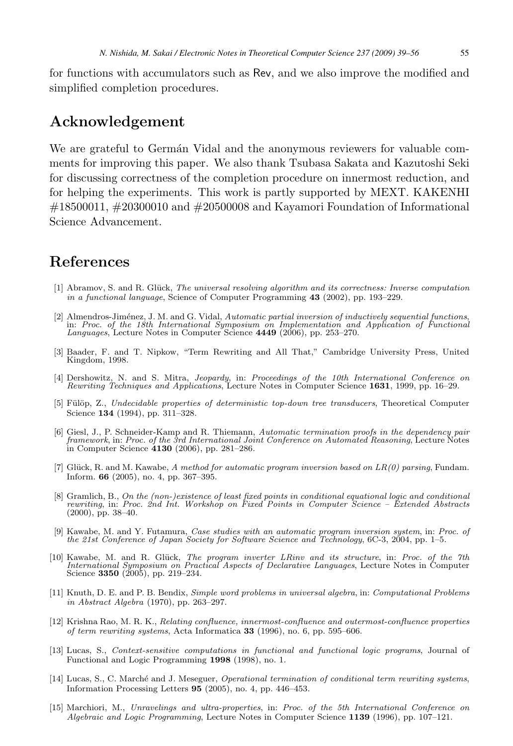<span id="page-16-0"></span>for functions with accumulators such as Rev, and we also improve the modified and simplified completion procedures.

## **Acknowledgement**

We are grateful to German Vidal and the anonymous reviewers for valuable comments for improving this paper. We also thank Tsubasa Sakata and Kazutoshi Seki for discussing correctness of the completion procedure on innermost reduction, and for helping the experiments. This work is partly supported by MEXT. KAKENHI  $\#18500011$ ,  $\#20300010$  and  $\#20500008$  and Kayamori Foundation of Informational Science Advancement.

### **References**

- [1] Abramov, S. and R. Glück, The universal resolving algorithm and its correctness: Inverse computation in a functional language, Science of Computer Programming **43** (2002), pp. 193–229.
- [2] Almendros-Jiménez, J. M. and G. Vidal, *Automatic partial inversion of inductively sequential functions*, in: *Proc. of the 18th International Symposium on Implementation and Application of Functional Languages*, Lectu
- [3] Baader, F. and T. Nipkow, "Term Rewriting and All That," Cambridge University Press, United Kingdom, 1998.
- [4] Dershowitz, N. and S. Mitra, Jeopardy, in: Proceedings of the 10th International Conference on Rewriting Techniques and Applications, Lecture Notes in Computer Science **1631**, 1999, pp. 16–29.
- [5] Fülöp, Z., Undecidable properties of deterministic top-down tree transducers, Theoretical Computer Science **134** (1994), pp. 311–328.
- [6] Giesl, J., P. Schneider-Kamp and R. Thiemann, Automatic termination proofs in the dependency pair framework, in: Proc. of the 3rd International Joint Conference on Automated Reasoning, Lecture Notes in Computer Science **4130** (2006), pp. 281–286.
- [7] Glück, R. and M. Kawabe, A method for automatic program inversion based on  $LR(0)$  parsing, Fundam. Inform. **66** (2005), no. 4, pp. 367–395.
- [8] Gramlich, B., On the (non-)existence of least fixed points in conditional equational logic and conditional rewriting, in: Proc. 2nd Int. Workshop on Fixed Points in Computer Science Extended Abstracts (2000), pp. 38–40.
- [9] Kawabe, M. and Y. Futamura, Case studies with an automatic program inversion system, in: Proc. of the 21st Conference of Japan Society for Software Science and Technology, 6C-3, 2004, pp. 1–5.
- [10] Kawabe, M. and R. Glück, The program inverter LRinv and its structure, in: Proc. of the 7th International Symposium on Practical Aspects of Declarative Languages, Lecture Notes in Computer Science **3350** (2005), pp. 219–234.
- [11] Knuth, D. E. and P. B. Bendix, Simple word problems in universal algebra, in: Computational Problems in Abstract Algebra (1970), pp. 263–297.
- [12] Krishna Rao, M. R. K., Relating confluence, innermost-confluence and outermost-confluence properties of term rewriting systems, Acta Informatica **33** (1996), no. 6, pp. 595–606.
- [13] Lucas, S., Context-sensitive computations in functional and functional logic programs, Journal of Functional and Logic Programming **1998** (1998), no. 1.
- [14] Lucas, S., C. Marché and J. Meseguer, *Operational termination of conditional term rewriting systems*, Information Processing Letters **95** (2005), no. 4, pp. 446–453.
- [15] Marchiori, M., Unravelings and ultra-properties, in: Proc. of the 5th International Conference on Algebraic and Logic Programming, Lecture Notes in Computer Science **1139** (1996), pp. 107–121.